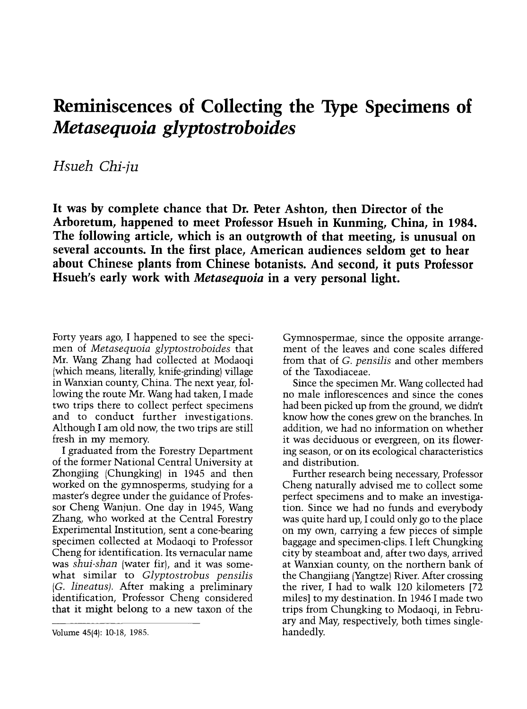## Reminiscences of Collecting the Type Specimens of Metasequoia glyptostroboides

Hsueh Chi-ju

It was by complete chance that Dr. Peter Ashton, then Director of the Arboretum, happened to meet Professor Hsueh in Kunming, China, in 1984. The following article, which is an outgrowth of that meeting, is unusual on several accounts. In the first place, American audiences seldom get to hear about Chinese plants from Chinese botanists. And second, it puts Professor Hsueh's early work with Metasequoia in a very personal light.

Forty years ago, I happened to see the speci- men of Metasequoia glyptostroboides that Mr. Wang Zhang had collected at Modaoqi (which means, literally, knife-grinding) village in Wanxian county, China. The next year, following the route Mr. Wang had taken, I made two trips there to collect perfect specimens and to conduct further investigations. Although I am old now, the two trips are still fresh in my memory.

I graduated from the Forestry Department of the former National Central University at Zhongjing (Chungking) in 1945 and then worked on the gymnosperms, studying for a master's degree under the guidance of Professor Cheng Wanjun. One day in 1945, Wang Zhang, who worked at the Central Forestry Experimental Institution, sent a cone-bearing specimen collected at Modaoqi to Professor Cheng for identification. Its vernacular name was shui-shan (water fir), and it was somewhat similar to *Glyptostrobus* pensilis (G. lineatus). After making a preliminary identification, Professor Cheng considered that it might belong to a new taxon of the

Gymnospermae, since the opposite arrangement of the leaves and cone scales differed from that of G. pensilis and other members of the Taxodiaceae.

Since the specimen Mr. Wang collected had no male inflorescences and since the cones had been picked up from the ground, we didn't know how the cones grew on the branches. In addition, we had no information on whether it was deciduous or evergreen, on its flowering season, or on its ecological characteristics and distribution.

Further research being necessary, Professor Cheng naturally advised me to collect some perfect specimens and to make an investigation. Since we had no funds and everybody was quite hard up, I could only go to the place on my own, carrying a few pieces of simple baggage and specimen-clips. I left Chungking city by steamboat and, after two days, arrived at Wanxian county, on the northern bank of the Changjiang (Yangtze) River. After crossing the river, I had to walk 120 kilometers [72 miles] to my destination. In 1946 I made two trips from Chungking to Modaoqi, in February and May, respectively, both times singlehandedly.

Volume 45(4): 10-18, 1985.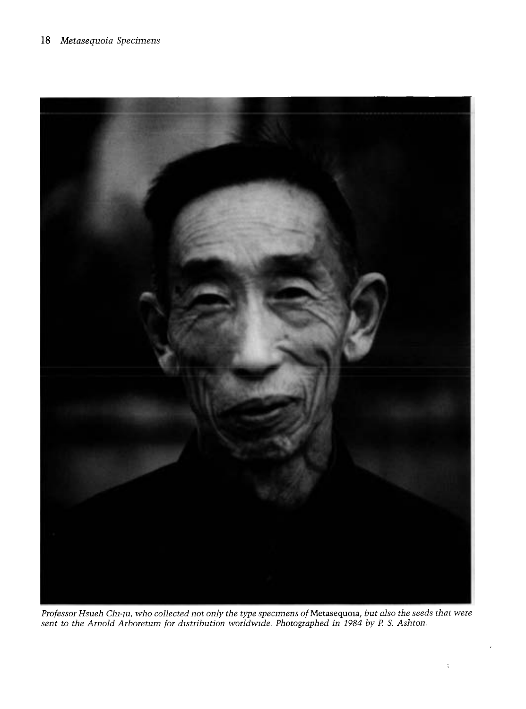

Professor Hsueh Chi-ju, who collected not only the type specimens of Metasequoia, but also the seeds that were sent to the Arnold Arboretum for distribution worldwide. Photographed in 1984 by P S. Ashton.

 $\ddot{\rm s}$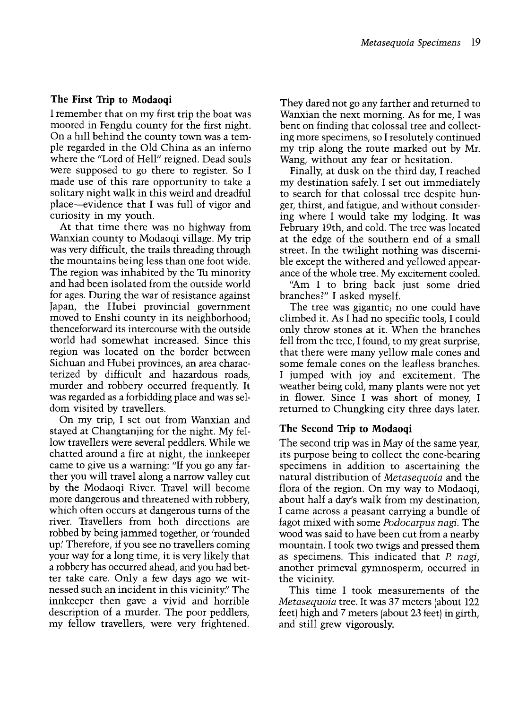## The First Trip to Modaoqi

I remember that on my first trip the boat was moored in Fengdu county for the first night. On a hill behind the county town was a temple regarded in the Old China as an inferno where the "Lord of Hell" reigned. Dead souls were supposed to go there to register. So I made use of this rare opportunity to take a solitary night walk in this weird and dreadful place-evidence that I was full of vigor and curiosity in my youth.

At that time there was no highway from<br>Wanxian county to Modaogi village. My trip was very difficult, the trails threading through. the mountains being less than one foot wide. The region was inhabited by the Tu minority and had been isolated from the outside world for ages. During the war of resistance against Japan, the Hubei provincial government moved to Enshi county in its neighborhood; thenceforward its intercourse with the outside world had somewhat increased. Since this region was located on the border between Sichuan and Hubei provinces, an area characterized by difficult and hazardous roads, murder and robbery occurred frequently. It was regarded as a forbidding place and was seldom visited by travellers.

On my trip, I set out from Wanxian and stayed at Changtanjing for the night. My fellow travellers were several peddlers. While we came to give us a warning: "If you go any farther you will travel along a narrow valley cut by the Modaoqi River. Travel will become more dangerous and threatened with robbery. which often occurs at dangerous turns of the river. Travellers from both directions are robbed by being jammed together, or 'rounded up.' Therefore, if you see no travellers coming your way for a long time, it is very likely that a robbery has occurred ahead, and you had better take care. Only a few days ago we witnessed such an incident in this vicinity." The innkeeper then gave a vivid and horrible description of a murder. The poor peddlers, my fellow travellers, were very frightened.

They dared not go any farther and returned to Wanxian the next morning. As for me, I was bent on finding that colossal tree and collecting more specimens, so I resolutely continued my trip along the route marked out by Mr. Wang, without any fear or hesitation.

Finally, at dusk on the third day, I reached my destination safely. I set out immediately to search for that colossal tree despite hunger, thirst, and fatigue, and without considering where I would take my lodging. It was February 19th, and cold. The tree was located at the edge of the southern end of a small street. In the twilight nothing was discerniance of the whole tree. My excitement cooled.

"Am I to bring back just some dried branches?" I asked myself.

The tree was gigantic; no one could have climbed it. As I had no specific tools, I could only throw stones at it. When the branches fell from the tree, I found, to my great surprise, that there were many yellow male cones and some female cones on the leafless branches. I jumped with joy and excitement. The weather being cold, many plants were not yet in flower. Since I was short of money, I returned to Chungking city three days later.

## The Second Trip to Modaoqi

The second trip was in May of the same year, its purpose being to collect the cone-bearing specimens in addition to ascertaining the natural distribution of Metasequoia and the flora of the region. On my way to Modaoqi, about half a day's walk from my destination, I came across a peasant carrying a bundle of fagot mixed with some Podocarpus nagi. The wood was said to have been cut from a nearby mountain. I took two twigs and pressed them as specimens. This indicated that P. nagi, another primeval gymnosperm, occurred in the vicinity.

This time I took measurements of the Metasequoia tree. It was 37 meters (about 122 feet) high and 7 meters (about 23 feet) in girth, and still grew vigorously.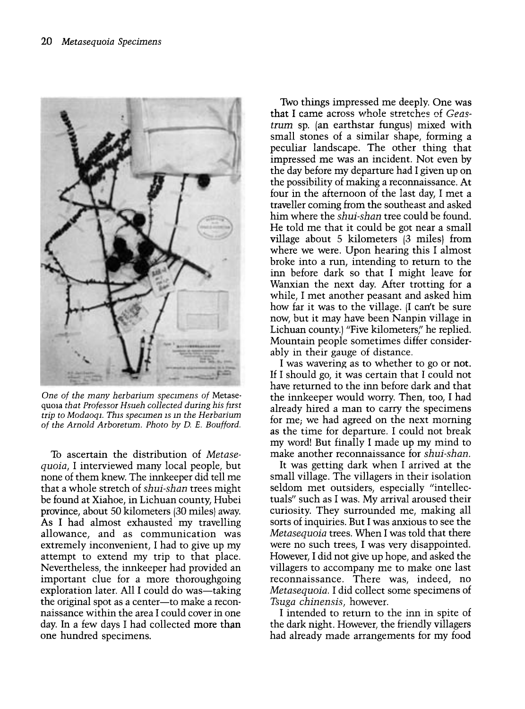

One of the many herbarium specimens of Metasequoia that Professor Hsueh collected during his first trip to Modaoqi. This specimen is in the Herbarium of the Arnold Arboretum. Photo by D. E. Boufford.

To ascertain the distribution of Metasequoia, I interviewed many local people, but none of them knew. The innkeeper did tell me that a whole stretch of shui-shan trees might be found at Xiahoe, in Lichuan county, Hubei province, about 50 kilometers (30 miles) away. As I had almost exhausted my travelling allowance, and as communication was extremely inconvenient, I had to give up my attempt to extend my trip to that place. Nevertheless, the innkeeper had provided an important clue for a more thoroughgoing exploration later. All I could do was—taking the original spot as a center-to make a reconnaissance within the area I could cover in one day. In a few days I had collected more than one hundred specimens.

Two things impressed me deeply. One was that I came across whole stretches of Geastrum sp. (an earthstar fungus) mixed with small stones of a similar shape, forming a peculiar landscape. The other thing that impressed me was an incident. Not even by the day before my departure had I given up on the possibility of making a reconnaissance. At four in the afternoon of the last day, I met a traveller coming from the southeast and asked him where the shui-shan tree could be found. He told me that it could be got near a small village about 5 kilometers (3 miles) from where we were. Upon hearing this I almost broke into a run, intending to return to the inn before dark so that I might leave for Wanxian the next day. After trotting for a while, I met another peasant and asked him how far it was to the village. (I can't be sure now, but it may have been Nanpin village in Lichuan county.) "Five kilometers" he replied. Mountain people sometimes differ considerably in their gauge of distance.

I was wavering as to whether to go or not. If I should go, it was certain that I could not have returned to the inn before dark and that the innkeeper would worry. Then, too, I had already hired a man to carry the specimens for me; we had agreed on the next morning as the time for departure. I could not break my word! But finally I made up my mind to make another reconnaissance for shui-shan.

It was getting dark when I arrived at the small village. The villagers in their isolation seldom met outsiders, especially "intellectuals" such as I was. My arrival aroused their curiosity. They surrounded me, making all sorts of inquiries. But I was anxious to see the Metasequoia trees. When I was told that there were no such trees, I was very disappointed. However, I did not give up hope, and asked the villagers to accompany me to make one last reconnaissance. There was, indeed, no Metasequoia. I did collect some specimens of Tsuga chinensis, however.

I intended to return to the inn in spite of the dark night. However, the friendly villagers had already made arrangements for my food